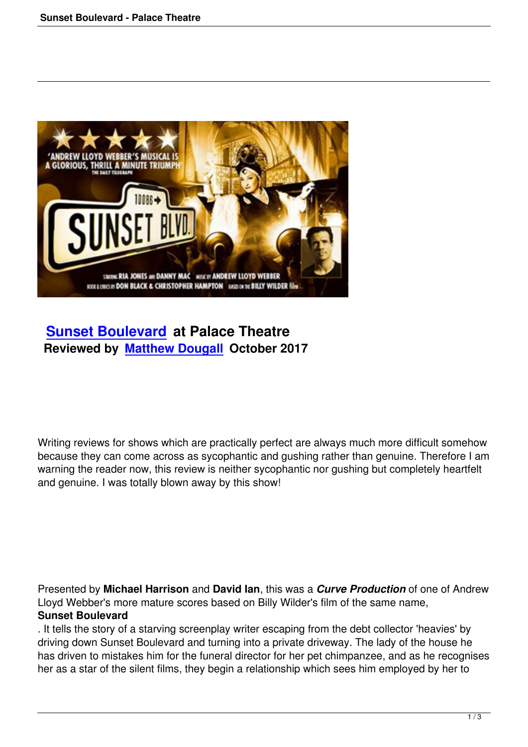

# **Sunset Boulevard at Palace Theatre Reviewed by Matthew Dougall October 2017**

Writing reviews for shows which are practically perfect are always much more difficult somehow because they can come across as sycophantic and gushing rather than genuine. Therefore I am warning the reader now, this review is neither sycophantic nor gushing but completely heartfelt and genuine. I was totally blown away by this show!

Presented by **Michael Harrison** and **David Ian**, this was a *Curve Production* of one of Andrew Lloyd Webber's more mature scores based on Billy Wilder's film of the same name, **Sunset Boulevard**

. It tells the story of a starving screenplay writer escaping from the debt collector 'heavies' by driving down Sunset Boulevard and turning into a private driveway. The lady of the house he has driven to mistakes him for the funeral director for her pet chimpanzee, and as he recognises her as a star of the silent films, they begin a relationship which sees him employed by her to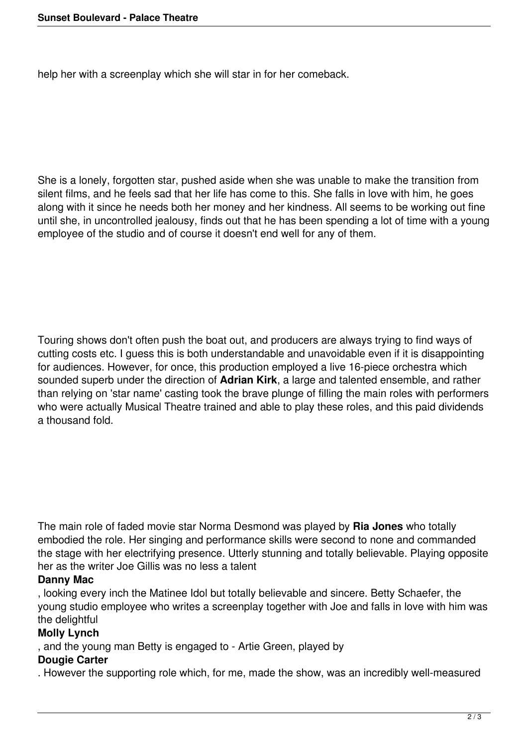help her with a screenplay which she will star in for her comeback.

She is a lonely, forgotten star, pushed aside when she was unable to make the transition from silent films, and he feels sad that her life has come to this. She falls in love with him, he goes along with it since he needs both her money and her kindness. All seems to be working out fine until she, in uncontrolled jealousy, finds out that he has been spending a lot of time with a young employee of the studio and of course it doesn't end well for any of them.

Touring shows don't often push the boat out, and producers are always trying to find ways of cutting costs etc. I guess this is both understandable and unavoidable even if it is disappointing for audiences. However, for once, this production employed a live 16-piece orchestra which sounded superb under the direction of **Adrian Kirk**, a large and talented ensemble, and rather than relying on 'star name' casting took the brave plunge of filling the main roles with performers who were actually Musical Theatre trained and able to play these roles, and this paid dividends a thousand fold.

The main role of faded movie star Norma Desmond was played by **Ria Jones** who totally embodied the role. Her singing and performance skills were second to none and commanded the stage with her electrifying presence. Utterly stunning and totally believable. Playing opposite her as the writer Joe Gillis was no less a talent

#### **Danny Mac**

, looking every inch the Matinee Idol but totally believable and sincere. Betty Schaefer, the young studio employee who writes a screenplay together with Joe and falls in love with him was the delightful

## **Molly Lynch**

, and the young man Betty is engaged to - Artie Green, played by

## **Dougie Carter**

. However the supporting role which, for me, made the show, was an incredibly well-measured